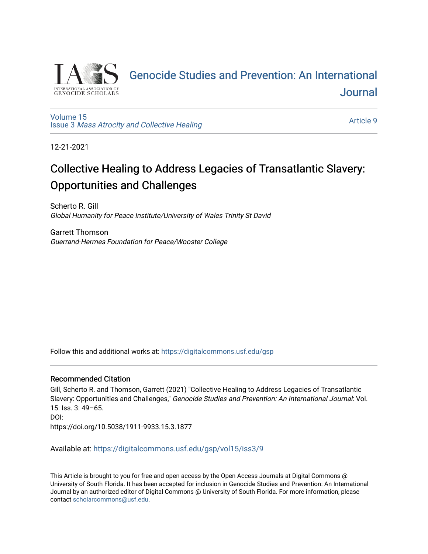

## [Genocide Studies and Prevention: An International](https://digitalcommons.usf.edu/gsp)  [Journal](https://digitalcommons.usf.edu/gsp)

[Volume 15](https://digitalcommons.usf.edu/gsp/vol15) Issue 3 [Mass Atrocity and Collective Healing](https://digitalcommons.usf.edu/gsp/vol15/iss3) 

[Article 9](https://digitalcommons.usf.edu/gsp/vol15/iss3/9) 

12-21-2021

# Collective Healing to Address Legacies of Transatlantic Slavery: Opportunities and Challenges

Scherto R. Gill Global Humanity for Peace Institute/University of Wales Trinity St David

Garrett Thomson Guerrand-Hermes Foundation for Peace/Wooster College

Follow this and additional works at: [https://digitalcommons.usf.edu/gsp](https://digitalcommons.usf.edu/gsp?utm_source=digitalcommons.usf.edu%2Fgsp%2Fvol15%2Fiss3%2F9&utm_medium=PDF&utm_campaign=PDFCoverPages) 

## Recommended Citation

Gill, Scherto R. and Thomson, Garrett (2021) "Collective Healing to Address Legacies of Transatlantic Slavery: Opportunities and Challenges," Genocide Studies and Prevention: An International Journal: Vol. 15: Iss. 3: 49–65. DOI: https://doi.org/10.5038/1911-9933.15.3.1877

Available at: [https://digitalcommons.usf.edu/gsp/vol15/iss3/9](https://digitalcommons.usf.edu/gsp/vol15/iss3/9?utm_source=digitalcommons.usf.edu%2Fgsp%2Fvol15%2Fiss3%2F9&utm_medium=PDF&utm_campaign=PDFCoverPages)

This Article is brought to you for free and open access by the Open Access Journals at Digital Commons @ University of South Florida. It has been accepted for inclusion in Genocide Studies and Prevention: An International Journal by an authorized editor of Digital Commons @ University of South Florida. For more information, please contact [scholarcommons@usf.edu](mailto:scholarcommons@usf.edu).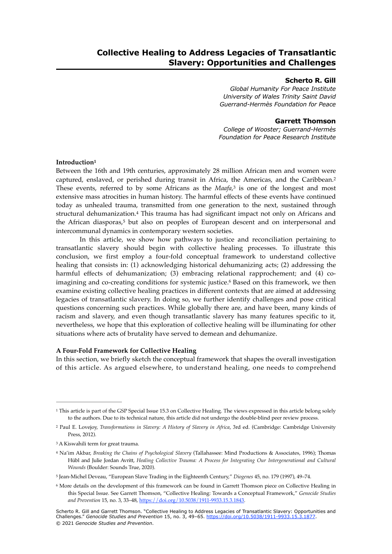### **Scherto R. Gill**

*Global Humanity For Peace Institute University of Wales Trinity Saint David Guerrand-Hermès Foundation for Peace*

## <span id="page-1-7"></span>**Garrett Thomson**

<span id="page-1-11"></span><span id="page-1-8"></span>*College of Wooster; Guerrand-Hermès Foundation for Peace Research Institute*

## <span id="page-1-6"></span>**Introduction[1](#page-1-0)**

Between the 16th and 19th centuries, approximately 28 million African men and women were captured, enslaved, or perished during transit in Africa, the Americas, and the Caribbean.[2](#page-1-1) Theseevents, referred to by some Africans as the *Maafa*,<sup>[3](#page-1-2)</sup> is one of the longest and most extensive mass atrocities in human history. The harmful effects of these events have continued today as unhealed trauma, transmitted from one generation to the next, sustained through structural dehumanization.<sup>[4](#page-1-3)</sup> This trauma has had significant impact not only on Africans and the African diasporas, $5$  but also on peoples of European descent and on interpersonal and intercommunal dynamics in contemporary western societies.

<span id="page-1-10"></span><span id="page-1-9"></span>In this article, we show how pathways to justice and reconciliation pertaining to transatlantic slavery should begin with collective healing processes. To illustrate this conclusion, we first employ a four-fold conceptual framework to understand collective healing that consists in: (1) acknowledging historical dehumanizing acts; (2) addressing the harmful effects of dehumanization; (3) embracing relational rapprochement; and (4) co-imagining and co-creating conditions for systemic justice.<sup>[6](#page-1-5)</sup> Based on this framework, we then examine existing collective healing practices in different contexts that are aimed at addressing legacies of transatlantic slavery. In doing so, we further identify challenges and pose critical questions concerning such practices. While globally there are, and have been, many kinds of racism and slavery, and even though transatlantic slavery has many features specific to it, nevertheless, we hope that this exploration of collective healing will be illuminating for other situations where acts of brutality have served to demean and dehumanize.

## **A Four-Fold Framework for Collective Healing**

In this section, we briefly sketch the conceptual framework that shapes the overall investigation of this article. As argued elsewhere, to understand healing, one needs to comprehend

<span id="page-1-0"></span><sup>&</sup>lt;sup>1</sup>This article is part of the GSP Special Issue [1](#page-1-6)5.3 on Collective Healing. The views expressed in this article belong solely to the authors. Due to its technical nature, this article did not undergo the double-blind peer review process.

<span id="page-1-1"></span><sup>&</sup>lt;sup>[2](#page-1-7)</sup> Paul E. Lovejoy, *Transformations in Slavery: A History of Slavery in Africa*, 3rd ed. (Cambridge: Cambridge University Press, 2012).

<span id="page-1-2"></span><sup>&</sup>lt;sup>[3](#page-1-8)</sup> A Kiswahili term for great trauma.

<span id="page-1-3"></span>Na'im Akbar, *Breaking the Chains of Psychological Slavery* (Tallahassee: Mind Productions & Associates, 1996); Thomas [4](#page-1-9) Hübl and Julie Jordan Avritt, *Healing Collective Trauma: A Process for Integrating Our Intergenerational and Cultural Wounds* (Boulder: Sounds True, 2020).

<span id="page-1-4"></span><sup>&</sup>lt;sup>[5](#page-1-10)</sup> Jean-Michel Deveau, "European Slave Trading in the Eighteenth Century," *Diogenes* 45, no. 179 (1997), 49–74.

<span id="page-1-5"></span><sup>&</sup>lt;sup>6</sup>More details on the development of this framework can be found in Garrett Thomson piece on Collective Healing in this Special Issue. See Garrett Thomson, "Collective Healing: Towards a Conceptual Framework," *Genocide Studies and Prevention* 15, no. 3, 33–48, [https://doi.org/10.5038/1911-9933.15.3.1843.](https://doi.org/10.5038/1911-9933.15.3.1843)

Scherto R. Gill and Garrett Thomson. "Collective Healing to Address Legacies of Transatlantic Slavery: Opportunities and Challenges." *Genocide Studies and Prevention* 15, no. 3, 49–65. <https://doi.org/10.5038/1911-9933.15.3.1877>. © 2021 *Genocide Studies and Prevention*.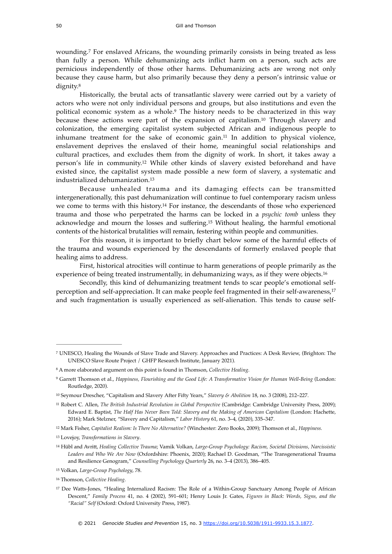<span id="page-2-11"></span>wounding.<sup>[7](#page-2-0)</sup> For enslaved Africans, the wounding primarily consists in being treated as less than fully a person. While dehumanizing acts inflict harm on a person, such acts are pernicious independently of those other harms. Dehumanizing acts are wrong not only because they cause harm, but also primarily because they deny a person's intrinsic value or dignity[.8](#page-2-1)

<span id="page-2-15"></span><span id="page-2-14"></span><span id="page-2-13"></span><span id="page-2-12"></span>Historically, the brutal acts of transatlantic slavery were carried out by a variety of actors who were not only individual persons and groups, but also institutions and even the political economic system as a whole.<sup>[9](#page-2-2)</sup> The history needs to be characterized in this way because these actions were part of the expansion of capitalism.<sup>[10](#page-2-3)</sup> Through slavery and colonization, the emerging capitalist system subjected African and indigenous people to inhumane treatment for the sake of economic gain.<sup>[11](#page-2-4)</sup> In addition to physical violence, enslavement deprives the enslaved of their home, meaningful social relationships and cultural practices, and excludes them from the dignity of work. In short, it takes away a person'slife in community.<sup>[12](#page-2-5)</sup> While other kinds of slavery existed beforehand and have existed since, the capitalist system made possible a new form of slavery, a systematic and industrialized dehumanization.[13](#page-2-6)

<span id="page-2-18"></span><span id="page-2-17"></span><span id="page-2-16"></span>Because unhealed trauma and its damaging effects can be transmitted intergenerationally, this past dehumanization will continue to fuel contemporary racism unless we come to terms with this history.<sup>[14](#page-2-7)</sup> For instance, the descendants of those who experienced trauma and those who perpetrated the harms can be locked in a *psychic tomb* unless they acknowledge and mourn the losses and suffering.<sup>[15](#page-2-8)</sup> Without healing, the harmful emotional contents of the historical brutalities will remain, festering within people and communities.

<span id="page-2-19"></span>For this reason, it is important to briefly chart below some of the harmful effects of the trauma and wounds experienced by the descendants of formerly enslaved people that healing aims to address.

<span id="page-2-20"></span>First, historical atrocities will continue to harm generations of people primarily as the experience of being treated instrumentally, in dehumanizing ways, as if they were objects.<sup>[16](#page-2-9)</sup>

<span id="page-2-21"></span>Secondly, this kind of dehumanizing treatment tends to scar people's emotional selfperception and self-appreciation. It can make people feel fragmented in their self-awareness,[17](#page-2-10) and such fragmentation is usually experienced as self-alienation. This tends to cause self-

<span id="page-2-0"></span>UNESCO, Healing the Wounds of Slave Trade and Slavery. Approaches and Practices: A Desk Review, (Brighton: The [7](#page-2-11) UNESCO Slave Route Project / GHFP Research Institute, January 2021).

<span id="page-2-1"></span>A more elaborated argument on this point is found in Thomson, *Collective Healing*. [8](#page-2-12)

<span id="page-2-2"></span>Garrett Thomson et al., *Happiness, Flourishing and the Good Life: A Transformative Vision for Human Well-Being* (London: [9](#page-2-13) Routledge, 2020).

<span id="page-2-3"></span><sup>&</sup>lt;sup>[10](#page-2-14)</sup> Seymour Drescher, "Capitalism and Slavery After Fifty Years," Slavery & Abolition 18, no. 3 (2008), 212-227.

<span id="page-2-4"></span><sup>&</sup>lt;sup>[11](#page-2-15)</sup> Robert C. Allen, *The British Industrial Revolution in Global Perspective* (Cambridge: Cambridge University Press, 2009); Edward E. Baptist, *The Half Has Never Been Told: Slavery and the Making of American Capitalism* (London: Hachette, 2016); Mark Stelzner, "Slavery and Capitalism," *Labor History* 61, no. 3–4, (2020), 335–347.

<span id="page-2-5"></span>Mark Fisher, *Capitalist Realism: Is There No Alternative?* (Winchester: Zero Books, 2009); Thomson et al., *Happiness.* [12](#page-2-16)

<span id="page-2-6"></span><sup>&</sup>lt;sup>[13](#page-2-17)</sup> Lovejoy, *Transformations in Slavery*.

<span id="page-2-7"></span>Hübl and Avritt, *Healing Collective Trauma*; Vamik Volkan, *Large-Group Psychology: Racism, Societal Divisions, Narcissistic* [14](#page-2-18) *Leaders and Who We Are Now* (Oxfordshire: Phoenix, 2020); Rachael D. Goodman, "The Transgenerational Trauma and Resilience Genogram," *Counselling Psychology Quarterly* 26, no. 3–4 (2013), 386–405.

<span id="page-2-8"></span>Volkan, *Large-Group Psychology*, 78. [15](#page-2-19)

<span id="page-2-9"></span><sup>&</sup>lt;sup>[16](#page-2-20)</sup> Thomson, *Collective Healing*.

<span id="page-2-10"></span><sup>&</sup>lt;sup>[17](#page-2-21)</sup> Dee Watts-Jones, "Healing Internalized Racism: The Role of a Within-Group Sanctuary Among People of African Descent," *Family Process* 41, no. 4 (2002), 591–601; Henry Louis Jr. Gates, *Figures in Black: Words, Signs, and the "Racial" Self* (Oxford: Oxford University Press, 1987).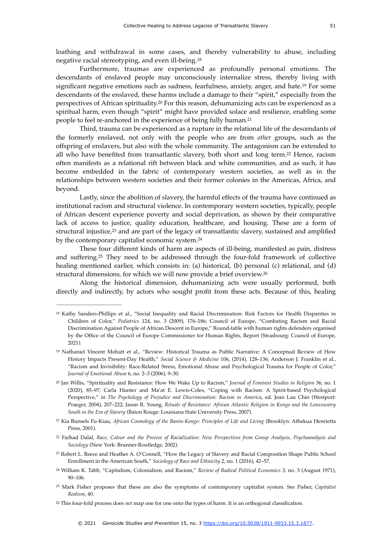<span id="page-3-9"></span>loathing and withdrawal in some cases, and thereby vulnerability to abuse, including negative racial stereotyping, and even ill-being[.18](#page-3-0)

<span id="page-3-10"></span>Furthermore, traumas are experienced as profoundly personal emotions. The descendants of enslaved people may unconsciously internalize stress, thereby living with significant negative emotions such as sadness, fearfulness, anxiety, anger, and hate.<sup>[19](#page-3-1)</sup> For some descendants of the enslaved, these harms include a damage to their "spirit," especially from the perspectivesof African spirituality.<sup>[20](#page-3-2)</sup> For this reason, dehumanizing acts can be experienced as a spiritual harm, even though "spirit" might have provided solace and resilience, enabling some people to feel re-anchored in the experience of being fully human.[21](#page-3-3)

<span id="page-3-13"></span><span id="page-3-12"></span><span id="page-3-11"></span>Third, trauma can be experienced as a rupture in the relational life of the descendants of the formerly enslaved, not only with the people who are from *other* groups, such as the offspring of enslavers, but also with the whole community. The antagonism can be extended to all who have benefited from transatlantic slavery, both short and long term[.](#page-3-4) $22$  Hence, racism often manifests as a relational rift between black and white communities, and as such, it has become embedded in the fabric of contemporary western societies, as well as in the relationships between western societies and their former colonies in the Americas, Africa, and beyond.

Lastly, since the abolition of slavery, the harmful effects of the trauma have continued as institutional racism and structural violence. In contemporary western societies, typically, people of African descent experience poverty and social deprivation, as shown by their comparative lack of access to justice, quality education, healthcare, and housing. These are a form of structural injustice, $2<sup>3</sup>$  and are part of the legacy of transatlantic slavery[,](#page-3-5) sustained and amplified by the contemporary capitalist economic system.<sup>[24](#page-3-6)</sup>

<span id="page-3-16"></span><span id="page-3-15"></span><span id="page-3-14"></span>These four different kinds of harm are aspects of ill-being, manifested as pain, distress and suffering[.](#page-3-7)<sup>[25](#page-3-7)</sup> They need to be addressed through the four-fold framework of collective healing mentioned earlier, which consists in: (a) historical, (b) personal (c) relational, and (d) structural dimensions, for which we will now provide a brief overview.[26](#page-3-8)

<span id="page-3-17"></span>Along the historical dimension, dehumanizing acts were usually performed, both directly and indirectly, by actors who sought profit from these acts. Because of this, healing

<span id="page-3-0"></span><sup>&</sup>lt;sup>[18](#page-3-9)</sup> Kathy Sanders-Phillips et al., "Social Inequality and Racial Discrimination: Risk Factors for Health Disparities in Children of Color," *Pediatrics* 124, no. 3 (2009), 176–186; Council of Europe, "Combating Racism and Racial Discrimination Against People of African Descent in Europe," Round-table with human rights defenders organised by the Office of the Council of Europe Commissioner for Human Rights, Report (Strasbourg: Council of Europe, 2021).

<span id="page-3-1"></span><sup>&</sup>lt;sup>[19](#page-3-10)</sup> Nathaniel Vincent Mohatt et al., "Review: Historical Trauma as Public Narrative: A Conceptual Review of How History Impacts Present-Day Health," *Social Science & Medicine* 106, (2014), 128–136; Anderson J. Franklin et al., "Racism and Invisibility: Race-Related Stress, Emotional Abuse and Psychological Trauma for People of Color," *Journal of Emotional Abuse* 6, no. 2–3 (2006), 9–30.

<span id="page-3-2"></span><sup>&</sup>lt;sup>[20](#page-3-11)</sup> Jan Willis, "Spirituality and Resistance: How We Wake Up to Racism," *Journal of Feminist Studies in Religion* 36, no. 1 (2020), 85–97; Carla Hunter and Ma'at E. Lewis-Coles, "Coping with Racism: A Spirit-based Psychological Perspective," in *The Psychology of Prejudice and Discrimination: Racism in America*, ed. Jean Lau Chin (Westport: Praeger, 2004), 207–222; Jason R. Young, *Rituals of Resistance: African Atlantic Religion in Kongo and the Lowcountry South in the Era of Slavery* (Baton Rouge: Louisiana State University Press, 2007).

<span id="page-3-3"></span><sup>&</sup>lt;sup>[21](#page-3-12)</sup> Kia Bunsels Fu-Kiau, *African Cosmology of the Bantu-Kongo: Principles of Life and Living (Brooklyn: Athekua Henrietta* Press, 2001).

<span id="page-3-4"></span>Farhad Dalal, *Race, Colour and the Process of Racialization: New Perspectives from Group Analysis, Psychoanalysis and* [22](#page-3-13) *Sociology* (New York: Brunner-Routledge, 2002).

<span id="page-3-5"></span><sup>&</sup>lt;sup>[23](#page-3-14)</sup> Robert L. Reece and Heather A. O'Connell, "How the Legacy of Slavery and Racial Composition Shape Public School Enrollment in the American South," *Sociology of Race and Ethnicity* 2, no. 1 (2016), 42–57.

<span id="page-3-6"></span>William K. Tabb, "Capitalism, Colonialism, and Racism," *Review of Radical Political Economics* 3, no. 3 (August 1971), [24](#page-3-15) 90–106.

<span id="page-3-7"></span>Mark Fisher proposes that these are also the symptoms of contemporary capitalist system. See Fisher, *Capitalist* [25](#page-3-16) *Realism*, 40.

<span id="page-3-8"></span><sup>&</sup>lt;sup>[26](#page-3-17)</sup> This four-fold process does *not* map one for one onto the types of harm. It is an orthogonal classification.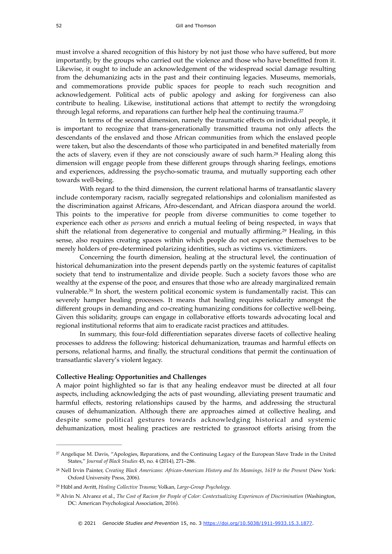must involve a shared recognition of this history by not just those who have suffered, but more importantly, by the groups who carried out the violence and those who have benefitted from it. Likewise, it ought to include an acknowledgement of the widespread social damage resulting from the dehumanizing acts in the past and their continuing legacies. Museums, memorials, and commemorations provide public spaces for people to reach such recognition and acknowledgement. Political acts of public apology and asking for forgiveness can also contribute to healing. Likewise, institutional actions that attempt to rectify the wrongdoing through legal reforms, and reparations can further help heal the continuing trauma.<sup>27</sup>

<span id="page-4-5"></span><span id="page-4-4"></span>In terms of the second dimension, namely the traumatic effects on individual people, it is important to recognize that trans-generationally transmitted trauma not only affects the descendants of the enslaved and those African communities from which the enslaved people were taken, but also the descendants of those who participated in and benefited materially from theacts of slavery, even if they are not consciously aware of such harm.<sup>[28](#page-4-1)</sup> Healing along this dimension will engage people from these different groups through sharing feelings, emotions and experiences, addressing the psycho-somatic trauma, and mutually supporting each other towards well-being.

With regard to the third dimension, the current relational harms of transatlantic slavery include contemporary racism, racially segregated relationships and colonialism manifested as the discrimination against Africans, Afro-descendant, and African diaspora around the world. This points to the imperative for people from diverse communities to come together to experience each other *as persons* and enrich a mutual feeling of being respected, in ways that shift the relational from degenerative to congenial and mutually affirming.<sup>[29](#page-4-2)</sup> Healing, in this sense, also requires creating spaces within which people do not experience themselves to be merely holders of pre-determined polarizing identities, such as victims vs. victimizers.

<span id="page-4-7"></span><span id="page-4-6"></span>Concerning the fourth dimension, healing at the structural level, the continuation of historical dehumanization into the present depends partly on the systemic features of capitalist society that tend to instrumentalize and divide people. Such a society favors those who are wealthy at the expense of the poor, and ensures that those who are already marginalized remain vulnerable.<sup>30</sup>In short, the western political economic system is fundamentally racist. This can severely hamper healing processes. It means that healing requires solidarity amongst the different groups in demanding and co-creating humanizing conditions for collective well-being. Given this solidarity, groups can engage in collaborative efforts towards advocating local and regional institutional reforms that aim to eradicate racist practices and attitudes.

In summary, this four-fold differentiation separates diverse facets of collective healing processes to address the following: historical dehumanization, traumas and harmful effects on persons, relational harms, and finally, the structural conditions that permit the continuation of transatlantic slavery's violent legacy.

### **Collective Healing: Opportunities and Challenges**

A major point highlighted so far is that any healing endeavor must be directed at all four aspects, including acknowledging the acts of past wounding, alleviating present traumatic and harmful effects, restoring relationships caused by the harms, and addressing the structural causes of dehumanization. Although there are approaches aimed at collective healing, and despite some political gestures towards acknowledging historical and systemic dehumanization, most healing practices are restricted to grassroot efforts arising from the

<span id="page-4-0"></span><sup>&</sup>lt;sup>[27](#page-4-4)</sup> Angelique M. Davis, "Apologies, Reparations, and the Continuing Legacy of the European Slave Trade in the United States," *Journal of Black Studies* 45, no. 4 (2014), 271–286.

<span id="page-4-1"></span><sup>&</sup>lt;sup>[28](#page-4-5)</sup> Nell Irvin Painter, *Creating Black Americans: African-American History and Its Meanings, 1619 to the Present (New York:* Oxford University Press, 2006).

<span id="page-4-2"></span>Hübl and Avritt, *Healing Collective Trauma*; Volkan, *Large-Group Psychology*. [29](#page-4-6)

<span id="page-4-3"></span>Alvin N. Alvarez et al., *The Cost of Racism for People of Color: Contextualizing Experiences of Discrimination* (Washington, [30](#page-4-7) DC: American Psychological Association, 2016).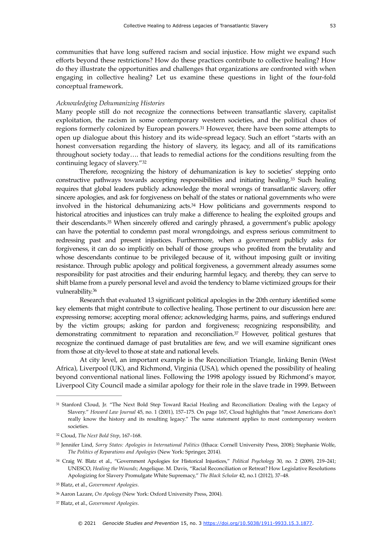communities that have long suffered racism and social injustice. How might we expand such efforts beyond these restrictions? How do these practices contribute to collective healing? How do they illustrate the opportunities and challenges that organizations are confronted with when engaging in collective healing? Let us examine these questions in light of the four-fold conceptual framework.

#### *Acknowledging Dehumanizing Histories*

<span id="page-5-7"></span>Many people still do not recognize the connections between transatlantic slavery, capitalist exploitation, the racism in some contemporary western societies, and the political chaos of regionsformerly colonized by European powers.<sup>[31](#page-5-0)</sup> However, there have been some attempts to open up dialogue about this history and its wide-spread legacy. Such an effort "starts with an honest conversation regarding the history of slavery, its legacy, and all of its ramifications throughout society today…. that leads to remedial actions for the conditions resulting from the continuing legacy of slavery.["32](#page-5-1)

<span id="page-5-11"></span><span id="page-5-10"></span><span id="page-5-9"></span><span id="page-5-8"></span>Therefore, recognizing the history of dehumanization is key to societies' stepping onto constructive pathways towards accepting responsibilities and initiating healing.<sup>[33](#page-5-2)</sup> Such healing requires that global leaders publicly acknowledge the moral wrongs of transatlantic slavery, offer sincere apologies, and ask for forgiveness on behalf of the states or national governments who were involved in the historical dehumanizing  $acts<sup>34</sup>$  $acts<sup>34</sup>$  $acts<sup>34</sup>$  How politicians and governments respond to historical atrocities and injustices can truly make a difference to healing the exploited groups and their descendants[.](#page-5-4)<sup>[35](#page-5-4)</sup> When sincerely offered and caringly phrased, a government's public apology can have the potential to condemn past moral wrongdoings, and express serious commitment to redressing past and present injustices. Furthermore, when a government publicly asks for forgiveness, it can do so implicitly on behalf of those groups who profited from the brutality and whose descendants continue to be privileged because of it, without imposing guilt or inviting resistance. Through public apology and political forgiveness, a government already assumes some responsibility for past atrocities and their enduring harmful legacy, and thereby, they can serve to shift blame from a purely personal level and avoid the tendency to blame victimized groups for their vulnerability.[36](#page-5-5)

<span id="page-5-12"></span>Research that evaluated 13 significant political apologies in the 20th century identified some key elements that might contribute to collective healing. Those pertinent to our discussion here are: expressing remorse; accepting moral offence; acknowledging harms, pains, and sufferings endured by the victim groups; asking for pardon and forgiveness; recognizing responsibility, and demonstrating commitment to reparation and reconciliation.<sup>[37](#page-5-6)</sup> However, political gestures that recognize the continued damage of past brutalities are few, and we will examine significant ones from those at city-level to those at state and national levels.

<span id="page-5-13"></span>At city level, an important example is the Reconciliation Triangle, linking Benin (West Africa), Liverpool (UK), and Richmond, Virginia (USA), which opened the possibility of healing beyond conventional national lines. Following the 1998 apology issued by Richmond's mayor, Liverpool City Council made a similar apology for their role in the slave trade in 1999. Between

<span id="page-5-0"></span>[<sup>31</sup>](#page-5-7) Stanford Cloud, Jr. "The Next Bold Step Toward Racial Healing and Reconciliation: Dealing with the Legacy of Slavery." *Howard Law Journal* 45, no. 1 (2001), 157–175. On page 167, Cloud highlights that "most Americans don't really know the history and its resulting legacy." The same statement applies to most contemporary western societies.

<span id="page-5-1"></span><sup>&</sup>lt;sup>[32](#page-5-8)</sup> Cloud, *The Next Bold Step*, 167-168.

<span id="page-5-2"></span>Jennifer Lind, *Sorry States: Apologies in International Politics* (Ithaca: Cornell University Press, 2008); Stephanie Wolfe, [33](#page-5-9) *The Politics of Reparations and Apologies* (New York: Springer, 2014).

<span id="page-5-3"></span><sup>&</sup>lt;sup>[34](#page-5-10)</sup> Craig W. Blatz et al., "Government Apologies for Historical Injustices," Political Psychology 30, no. 2 (2009), 219-241; UNESCO, *Healing the Wounds*; Angelique. M. Davis, "Racial Reconciliation or Retreat? How Legislative Resolutions Apologizing for Slavery Promulgate White Supremacy," *The Black Scholar* 42, no.1 (2012), 37–48.

<span id="page-5-4"></span>Blatz, et al., *Government Apologies*. [35](#page-5-11)

<span id="page-5-5"></span>Aaron Lazare, *On Apology* (New York: Oxford University Press, 2004). [36](#page-5-12)

<span id="page-5-6"></span>Blatz, et al., *Government Apologies*. [37](#page-5-13)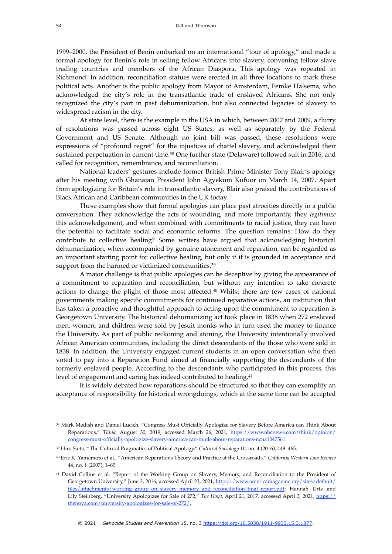1999–2000, the President of Benin embarked on an international "tour of apology," and made a formal apology for Benin's role in selling fellow Africans into slavery, convening fellow slave trading countries and members of the African Diaspora. This apology was repeated in Richmond. In addition, reconciliation statues were erected in all three locations to mark these political acts. Another is the public apology from Mayor of Amsterdam, Femke Halsema, who acknowledged the city's role in the transatlantic trade of enslaved Africans. She not only recognized the city's part in past dehumanization, but also connected legacies of slavery to widespread racism in the city.

At state level, there is the example in the USA in which, between 2007 and 2009, a flurry of resolutions was passed across eight US States, as well as separately by the Federal Government and US Senate. Although no joint bill was passed, these resolutions were expressions of "profound regret" for the injustices of chattel slavery, and acknowledged their sustainedperpetuation in current time.<sup>[38](#page-6-0)</sup> One further state (Delaware) followed suit in 2016, and called for recognition, remembrance, and reconciliation.

<span id="page-6-4"></span>National leaders' gestures include former British Prime Minister Tony Blair's apology after his meeting with Ghanaian President John Agyekum Kufuor on March 14, 2007. Apart from apologizing for Britain's role in transatlantic slavery, Blair also praised the contributions of Black African and Caribbean communities in the UK today.

These examples show that formal apologies can place past atrocities directly in a public conversation. They acknowledge the acts of wounding, and more importantly, they *legitimize* this acknowledgement, and when combined with commitments to racial justice, they can have the potential to facilitate social and economic reforms. The question remains: How do they contribute to collective healing? Some writers have argued that acknowledging historical dehumanization, when accompanied by genuine atonement and reparation, can be regarded as an important starting point for collective healing, but only if it is grounded in acceptance and support from the harmed or victimized communities.<sup>[39](#page-6-1)</sup>

<span id="page-6-6"></span><span id="page-6-5"></span>A major challenge is that public apologies can be deceptive by giving the appearance of a commitment to reparation and reconciliation, but without any intention to take concrete actions to change the plight of those most affected[.](#page-6-2)<sup>[40](#page-6-2)</sup> Whilst there are few cases of national governments making specific commitments for continued reparative actions, an institution that has taken a proactive and thoughtful approach to acting upon the commitment to reparation is Georgetown University. The historical dehumanizing act took place in 1838 when 272 enslaved men, women, and children were sold by Jesuit monks who in turn used the money to finance the University. As part of public reckoning and atoning, the University intentionally involved African American communities, including the direct descendants of the those who were sold in 1838. In addition, the University engaged current students in an open conversation who then voted to pay into a Reparation Fund aimed at financially supporting the descendants of the formerly enslaved people. According to the descendants who participated in this process, this level of engagement and caring has indeed contributed to healing[.41](#page-6-3)

<span id="page-6-7"></span>It is widely debated how reparations should be structured so that they can exemplify an acceptance of responsibility for historical wrongdoings, which at the same time can be accepted

<span id="page-6-0"></span><sup>&</sup>lt;sup>[38](#page-6-4)</sup> Mark Medish and Daniel Lucich, "Congress Must Officially Apologize for Slavery Before America can Think About Reparations," *Think,* August 30, 2019, accessed March 26, 2021, [https://www.nbcnews.com/think/opinion/](https://www.nbcnews.com/think/opinion/congress-must-officially-apologize-slavery-america-can-think-about-reparations-ncna1047561) [congress-must-officially-apologize-slavery-america-can-think-about-reparations-ncna1047561.](https://www.nbcnews.com/think/opinion/congress-must-officially-apologize-slavery-america-can-think-about-reparations-ncna1047561)

<span id="page-6-1"></span><sup>&</sup>lt;sup>[39](#page-6-5)</sup> Hiro Saito, "The Cultural Pragmatics of Political Apology," *Cultural Sociology* 10, no. 4 (2016), 448–465.

<span id="page-6-2"></span>Eric K. Yamamoto et al., "American Reparations Theory and Practice at the Crossroads," *California Western Law Review* [40](#page-6-6) 44, no. 1 (2007), 1–85.

<span id="page-6-3"></span><sup>&</sup>lt;sup>[41](#page-6-7)</sup> David Collins et al. "Report of the Working Group on Slavery, Memory, and Reconciliation to the President of Georgetown University," June 3, 2016, accessed April 23, 2021, [https://www.americamagazine.org/sites/default/](https://www.americamagazine.org/sites/default/files/attachments/working_group_on_slavery_memory_and_reconciliation_final_report.pdf) [files/attachments/working\\_group\\_on\\_slavery\\_memory\\_and\\_reconciliation\\_final\\_report.pdf; Hannah Urtz and](https://www.americamagazine.org/sites/default/files/attachments/working_group_on_slavery_memory_and_reconciliation_final_report.pdf) Lily Steinberg, "University Apologizes for Sale of 272," *The Hoya*, April 21, 2017, accessed April 3, 2021, [https://](https://thehoya.com/university-apologizes-for-sale-of-272/) [thehoya.com/university-apologizes-for-sale-of-272/](https://thehoya.com/university-apologizes-for-sale-of-272/).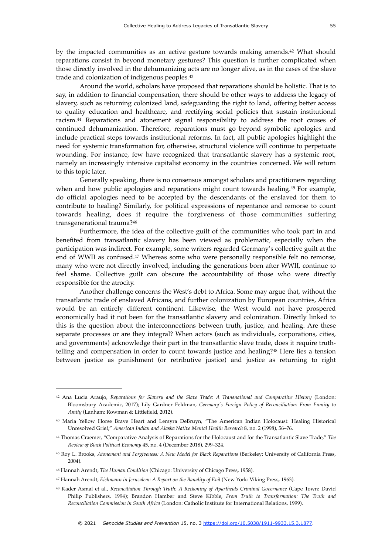<span id="page-7-7"></span>bythe impacted communities as an active gesture towards making amends. $42$  What should reparations consist in beyond monetary gestures? This question is further complicated when those directly involved in the dehumanizing acts are no longer alive, as in the cases of the slave trade and colonization of indigenous peoples[.43](#page-7-1)

<span id="page-7-9"></span><span id="page-7-8"></span>Around the world, scholars have proposed that reparations should be holistic. That is to say, in addition to financial compensation, there should be other ways to address the legacy of slavery, such as returning colonized land, safeguarding the right to land, offering better access to quality education and healthcare, and rectifying social policies that sustain institutional racism.<sup>44</sup>Reparations and atonement signal responsibility to address the root causes of continued dehumanization. Therefore, reparations must go beyond symbolic apologies and include practical steps towards institutional reforms. In fact, all public apologies highlight the need for systemic transformation for, otherwise, structural violence will continue to perpetuate wounding. For instance, few have recognized that transatlantic slavery has a systemic root, namely an increasingly intensive capitalist economy in the countries concerned. We will return to this topic later.

<span id="page-7-10"></span>Generally speaking, there is no consensus amongst scholars and practitioners regarding when and how public apologies and reparations might count towards healing.<sup>[45](#page-7-3)</sup> For example, do official apologies need to be accepted by the descendants of the enslaved for them to contribute to healing? Similarly, for political expressions of repentance and remorse to count towards healing, does it require the forgiveness of those communities suffering transgenerational trauma?[46](#page-7-4)

<span id="page-7-12"></span><span id="page-7-11"></span>Furthermore, the idea of the collective guilt of the communities who took part in and benefited from transatlantic slavery has been viewed as problematic, especially when the participation was indirect. For example, some writers regarded Germany's collective guilt at the end of WWII as confused.<sup>[47](#page-7-5)</sup> Whereas some who were personally responsible felt no remorse, many who were not directly involved, including the generations born after WWII, continue to feel shame. Collective guilt can obscure the accountability of those who were directly responsible for the atrocity.

Another challenge concerns the West's debt to Africa. Some may argue that, without the transatlantic trade of enslaved Africans, and further colonization by European countries, Africa would be an entirely different continent. Likewise, the West would not have prospered economically had it not been for the transatlantic slavery and colonization. Directly linked to this is the question about the interconnections between truth, justice, and healing. Are these separate processes or are they integral? When actors (such as individuals, corporations, cities, and governments) acknowledge their part in the transatlantic slave trade, does it require truth-telling and compensation in order to count towards justice and healing?<sup>[48](#page-7-6)</sup> Here lies a tension between justice as punishment (or retributive justice) and justice as returning to right

<span id="page-7-13"></span><span id="page-7-0"></span>[<sup>42</sup>](#page-7-7) Ana Lucia Araujo, *Reparations for Slavery and the Slave Trade: A Transnational and Comparative History* (London: Bloomsbury Academic, 2017); Lily Gardner Feldman, *Germany's Foreign Policy of Reconciliation: From Enmity to Amity* (Lanham: Rowman & Littlefield, 2012).

<span id="page-7-1"></span>[<sup>43</sup>](#page-7-8) Maria Yellow Horse Brave Heart and Lemyra DeBruyn, "The American Indian Holocaust: Healing Historical Unresolved Grief," *American Indian and Ala*s*ka Native Mental Health Research* 8, no. 2 (1998), 56–76*.*

<span id="page-7-2"></span>Thomas Craemer, "Comparative Analysis of Reparations for the Holocaust and for the Transatlantic Slave Trade," *The* [44](#page-7-9) *Review of Black Political Economy* 45, no. 4 (December 2018), 299–324.

<span id="page-7-3"></span>Roy L. Brooks, *Atonement and Forgiveness: A New Model for Black Reparations* (Berkeley: University of California Press, [45](#page-7-10) 2004).

<span id="page-7-4"></span><sup>&</sup>lt;sup>[46](#page-7-11)</sup> Hannah Arendt, *The Human Condition* (Chicago: University of Chicago Press, 1958).

<span id="page-7-5"></span><sup>&</sup>lt;sup>[47](#page-7-12)</sup> Hannah Arendt, *Eichmann in Jerusalem: A Report on the Banality of Evil* (New York: Viking Press, 1963).

<span id="page-7-6"></span><sup>&</sup>lt;sup>[48](#page-7-13)</sup> Kader Asmal et al., *Reconciliation Through Truth: A Reckoning of Apartheids Criminal Governance* (Cape Town: David Philip Publishers, 1994); Brandon Hamber and Steve Kibble, *From Truth to Transformation: The Truth and Reconciliation Commission in South Africa* (London: Catholic Institute for International Relations, 1999).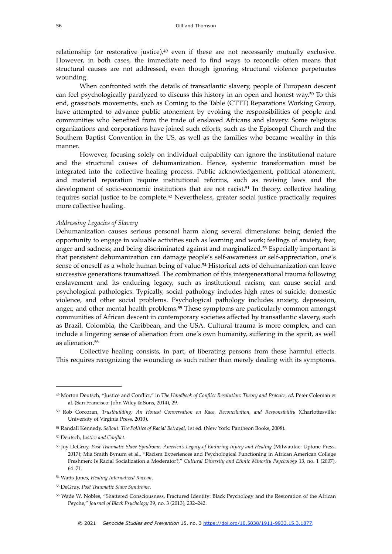<span id="page-8-8"></span>relationship (or restorative justice), $49$  even if these are not necessarily mutually exclusive. However, in both cases, the immediate need to find ways to reconcile often means that structural causes are not addressed, even though ignoring structural violence perpetuates wounding.

<span id="page-8-9"></span>When confronted with the details of transatlantic slavery, people of European descent canfeel psychologically paralyzed to discuss this history in an open and honest way.<sup>[50](#page-8-1)</sup> To this end, grassroots movements, such as Coming to the Table (CTTT) Reparations Working Group, have attempted to advance public atonement by evoking the responsibilities of people and communities who benefited from the trade of enslaved Africans and slavery. Some religious organizations and corporations have joined such efforts, such as the Episcopal Church and the Southern Baptist Convention in the US, as well as the families who became wealthy in this manner.

<span id="page-8-10"></span>However, focusing solely on individual culpability can ignore the institutional nature and the structural causes of dehumanization. Hence, systemic transformation must be integrated into the collective healing process. Public acknowledgement, political atonement, and material reparation require institutional reforms, such as revising laws and the development of socio-economic institutions that are not racist[.](#page-8-2)<sup>[51](#page-8-2)</sup> In theory, collective healing requires social justice to be complete.<sup>[52](#page-8-3)</sup> Nevertheless, greater social justice practically requires more collective healing.

#### <span id="page-8-11"></span>*Addressing Legacies of Slavery*

<span id="page-8-13"></span><span id="page-8-12"></span>Dehumanization causes serious personal harm along several dimensions: being denied the opportunity to engage in valuable activities such as learning and work; feelings of anxiety, fear, anger and sadness; and being discriminated against and marginalized.<sup>[53](#page-8-4)</sup> Especially important is that persistent dehumanization can damage people's self-awareness or self-appreciation, one's senseof oneself as a whole human being of value.<sup>[54](#page-8-5)</sup> Historical acts of dehumanization can leave successive generations traumatized. The combination of this intergenerational trauma following enslavement and its enduring legacy, such as institutional racism, can cause social and psychological pathologies. Typically, social pathology includes high rates of suicide, domestic violence, and other social problems. Psychological pathology includes anxiety, depression, anger, and other mental health problems.<sup>[55](#page-8-6)</sup> These symptoms are particularly common amongst communities of African descent in contemporary societies affected by transatlantic slavery, such as Brazil, Colombia, the Caribbean, and the USA. Cultural trauma is more complex, and can include a lingering sense of alienation from one's own humanity, suffering in the spirit, as well as alienation[.56](#page-8-7)

<span id="page-8-15"></span><span id="page-8-14"></span>Collective healing consists, in part, of liberating persons from these harmful effects. This requires recognizing the wounding as such rather than merely dealing with its symptoms.

<span id="page-8-0"></span><sup>&</sup>lt;sup>[49](#page-8-8)</sup> Morton Deutsch, "Justice and Conflict," in *The Handbook of Conflict Resolution: Theory and Practice, ed.* Peter Coleman et al. (San Francisco: John Wiley & Sons, 2014), 29.

<span id="page-8-1"></span>[<sup>50</sup>](#page-8-9) Rob Corcoran, *Trustbuilding: An Honest Conversation on Race, Reconciliation, and Responsibility* (Charlottesville: University of Virginia Press, 2010).

<span id="page-8-2"></span>Randall Kennedy, *Sellout: The Politics of Racial Betrayal*, 1st ed. (New York: Pantheon Books, 2008). [51](#page-8-10)

<span id="page-8-3"></span>Deutsch, *Justice and Conflict*. [52](#page-8-11)

<span id="page-8-4"></span>Joy DeGruy, *Post Traumatic Slave Syndrome: America's Legacy of Enduring Injury and Healing* (Milwaukie: Uptone Press, [53](#page-8-12) 2017); Mia Smith Bynum et al., "Racism Experiences and Psychological Functioning in African American College Freshmen: Is Racial Socialization a Moderator?," *Cultural Diversity and Ethnic Minority Psychology* 13*,* no. 1 (2007), 64–71.

<span id="page-8-5"></span>Watts-Jones, *Healing Internalized Racism*. [54](#page-8-13)

<span id="page-8-6"></span>DeGruy, *Post Traumatic Slave Syndrome*. [55](#page-8-14)

<span id="page-8-7"></span>Wade W. Nobles, "Shattered Consciousness, Fractured Identity: Black Psychology and the Restoration of the African [56](#page-8-15) Psyche," *Journal of Black Psychology* 39, no. 3 (2013), 232–242.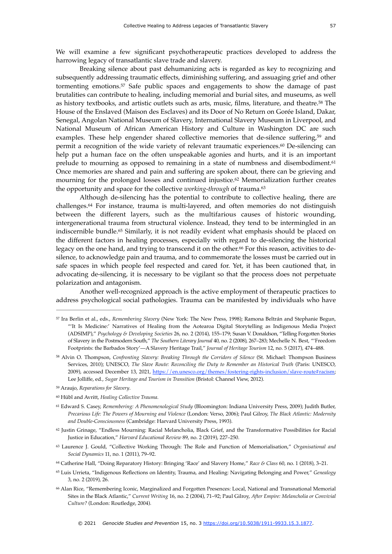We will examine a few significant psychotherapeutic practices developed to address the harrowing legacy of transatlantic slave trade and slavery.

<span id="page-9-11"></span><span id="page-9-10"></span>Breaking silence about past dehumanizing acts is regarded as key to recognizing and subsequently addressing traumatic effects, diminishing suffering, and assuaging grief and other tormenting emotions.<sup>[57](#page-9-0)</sup> Safe public spaces and engagements to show the damage of past brutalities can contribute to healing, including memorial and burial sites, and museums, as well as history textbooks, and artistic outlets such as arts, music, films, literature, and theatre.<sup>[58](#page-9-1)</sup> The House of the Enslaved (Maison des Esclaves) and its Door of No Return on Gorée Island, Dakar, Senegal, Angolan National Museum of Slavery, International Slavery Museum in Liverpool, and National Museum of African American History and Culture in Washington DC are such examples. These help engender shared collective memories that de-silence suffering[,](#page-9-2)<sup>[59](#page-9-2)</sup> and permit a recognition of the wide variety of relevant traumatic experiences[.](#page-9-3) $60$  De-silencing can help put a human face on the often unspeakable agonies and hurts, and it is an important prelude to mourning as opposed to remaining in a state of numbness and disembodiment.<sup>[61](#page-9-4)</sup> Once memories are shared and pain and suffering are spoken about, there can be grieving and mourning for the prolonged losses and continued injustice. $62$  Memorialization further creates the opportunity and space for the collective *working-through* of trauma.[63](#page-9-6)

<span id="page-9-18"></span><span id="page-9-17"></span><span id="page-9-16"></span><span id="page-9-15"></span><span id="page-9-14"></span><span id="page-9-13"></span><span id="page-9-12"></span>Although de-silencing has the potential to contribute to collective healing, there are challenges.<sup>[64](#page-9-7)</sup> For instance, trauma is multi-layered, and often memories do not distinguish between the different layers, such as the multifarious causes of historic wounding, intergenerational trauma from structural violence. Instead, they tend to be intermingled in an indiscernible bundle.<sup>[65](#page-9-8)</sup> Similarly, it is not readily evident what emphasis should be placed on the different factors in healing processes, especially with regard to de-silencing the historical legacy on the one hand, and trying to transcend it on the other.<sup>66</sup> For this reason, activities to desilence, to acknowledge pain and trauma, and to commemorate the losses must be carried out in safe spaces in which people feel respected and cared for. Yet, it has been cautioned that, in advocating de-silencing, it is necessary to be vigilant so that the process does not perpetuate polarization and antagonism.

<span id="page-9-19"></span>Another well-recognized approach is the active employment of therapeutic practices to address psychological social pathologies. Trauma can be manifested by individuals who have

- <span id="page-9-5"></span> $62$  Justin Grinage, "Endless Mourning: Racial Melancholia, Black Grief, and the Transformative Possibilities for Racial Justice in Education," *Harvard Educational Review* 89, no. 2 (2019), 227–250.
- <span id="page-9-6"></span> Laurence J. Gould, "Collective Working Through: The Role and Function of Memorialisation," *Organisational and* [63](#page-9-16) *Social Dynamics* 11, no. 1 (2011), 79–92.
- <span id="page-9-7"></span>Catherine Hall, "Doing Reparatory History: Bringing 'Race' and Slavery Home," *Race & Class* 60, no. 1 (2018), 3–21. [64](#page-9-17)
- <span id="page-9-8"></span> Luis Urrieta, "Indigenous Reflections on Identity, Trauma, and Healing: Navigating Belonging and Power," *Genealogy* [65](#page-9-18) 3, no. 2 (2019), 26.
- <span id="page-9-9"></span> Alan Rice, "Remembering Iconic, Marginalized and Forgotten Presences: Local, National and Transnational Memorial [66](#page-9-19) Sites in the Black Atlantic," *Current Writing* 16, no. 2 (2004), 71–92; Paul Gilroy, *After Empire: Melancholia or Convivial Culture?* (London: Routledge, 2004).

<span id="page-9-0"></span><sup>&</sup>lt;sup>[57](#page-9-10)</sup> Ira Berlin et al., eds., *Remembering Slavery* (New York: The New Press, 1998); Ramona Beltrán and Stephanie Begun, "'It Is Medicine:' Narratives of Healing from the Aotearoa Digital Storytelling as Indigenous Media Project (ADSIMP)," *Psychology & Developing Societies* 26, no. 2 (2014), 155–179; Susan V. Donaldson, "Telling Forgotten Stories of Slavery in the Postmodern South," *The Southern Literary Journal* 40, no. 2 (2008), 267–283; Mechelle N. Best, "'Freedom Footprints: the Barbados Story'—A Slavery Heritage Trail," *Journal of Heritage Tourism* 12, no. 5 (2017), 474–488.

<span id="page-9-1"></span><sup>&</sup>lt;sup>[58](#page-9-11)</sup> Alvin O. Thompson, *Confronting Slavery: Breaking Through the Corridors of Silence* (St. Michael: Thompson Business Services, 2010); UNESCO, *The Slave Route: Reconciling the Duty to Remember an Historical Truth* (Paris: UNESCO, 2009), accessed December 13, 2021, <https://en.unesco.org/themes/fostering-rights-inclusion/slave-route#racism>; Lee Jolliffe, ed., *Sugar Heritage and Tourism in Transition* (Bristol: Channel View, 2012).

<span id="page-9-2"></span>Araujo, *Reparations for Slavery*. [59](#page-9-12)

<span id="page-9-3"></span>Hübl and Avritt, *Healing Collective Trauma*. [60](#page-9-13)

<span id="page-9-4"></span><sup>&</sup>lt;sup>[61](#page-9-14)</sup> Edward S. Casey, *Remembering: A Phenomenological Study* (Bloomington: Indiana University Press, 2009); Judith Butler, *Precarious Life: The Powers of Mourning and Violence* (London: Verso, 2006); Paul Gilroy, *The Black Atlantic: Modernity and Double-Consciousness* (Cambridge: Harvard University Press, 1993).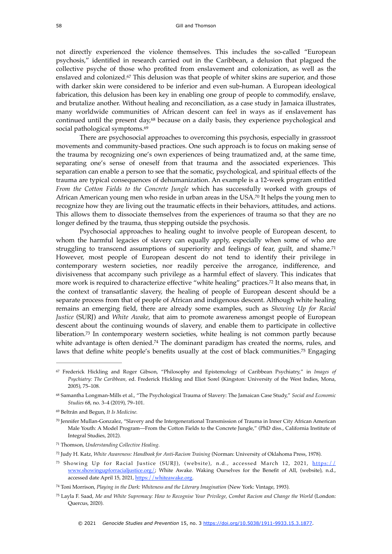<span id="page-10-9"></span>not directly experienced the violence themselves. This includes the so-called "European psychosis," identified in research carried out in the Caribbean, a delusion that plagued the collective psyche of those who profited from enslavement and colonization, as well as the enslaved and colonized[.](#page-10-0)<sup>[67](#page-10-0)</sup> This delusion was that people of whiter skins are superior, and those with darker skin were considered to be inferior and even sub-human. A European ideological fabrication, this delusion has been key in enabling one group of people to commodify, enslave, and brutalize another. Without healing and reconciliation, as a case study in Jamaica illustrates, many worldwide communities of African descent can feel in ways as if enslavement has continued until the present day, $68$  because on a daily basis[,](#page-10-1) they experience psychological and social pathological symptoms.<sup>[69](#page-10-2)</sup>

<span id="page-10-11"></span><span id="page-10-10"></span>There are psychosocial approaches to overcoming this psychosis, especially in grassroot movements and community-based practices. One such approach is to focus on making sense of the trauma by recognizing one's own experiences of being traumatized and, at the same time, separating one's sense of oneself from that trauma and the associated experiences. This separation can enable a person to see that the somatic, psychological, and spiritual effects of the trauma are typical consequences of dehumanization. An example is a 12-week program entitled *From the Cotton Fields to the Concrete Jungle* which has successfully worked with groups of African American young men who reside in urban areas in the USA[.](#page-10-3)<sup>[70](#page-10-3)</sup> It helps the young men to recognize how they are living out the traumatic effects in their behaviors, attitudes, and actions. This allows them to dissociate themselves from the experiences of trauma so that they are no longer defined by the trauma, thus stepping outside the psychosis.

<span id="page-10-14"></span><span id="page-10-13"></span><span id="page-10-12"></span>Psychosocial approaches to healing ought to involve people of European descent, to whom the harmful legacies of slavery can equally apply, especially when some of who are struggling to transcend assumptions of superiority and feelings of fear, guilt, and shame.<sup>[71](#page-10-4)</sup> However, most people of European descent do not tend to identify their privilege in contemporary western societies, nor readily perceive the arrogance, indifference, and divisiveness that accompany such privilege as a harmful effect of slavery. This indicates that more work is required to characterize effective "white healing" practices.<sup>[72](#page-10-5)</sup> It also means that, in the context of transatlantic slavery, the healing of people of European descent should be a separate process from that of people of African and indigenous descent. Although white healing remains an emerging field, there are already some examples, such as *Showing Up for Racial Justice* (SURJ) and *White Awake*, that aim to promote awareness amongst people of European descent about the continuing wounds of slavery, and enable them to participate in collective liberation.<sup>[73](#page-10-6)</sup> In contemporary western societies, white healing is not common partly because whiteadvantage is often denied.<sup>[74](#page-10-7)</sup> The dominant paradigm has created the norms, rules, and laws that define white people's benefits usually at the cost of black communities[.](#page-10-8)<sup>[75](#page-10-8)</sup> Engaging

<span id="page-10-17"></span><span id="page-10-16"></span><span id="page-10-15"></span><span id="page-10-0"></span>Frederick Hickling and Roger Gibson, "Philosophy and Epistemology of Caribbean Psychiatry," in *Images of* [67](#page-10-9) *Psychiatry: The Caribbean,* ed. Frederick Hickling and Eliot Sorel (Kingston: University of the West Indies, Mona, 2005), 75–108.

<span id="page-10-1"></span>Samantha Longman-Mills et al., "The Psychological Trauma of Slavery: The Jamaican Case Study," *Social and Economic* [68](#page-10-10) *Studies* 68, no. 3–4 (2019), 79–101.

<span id="page-10-2"></span>Beltrán and Begun, *It Is Medicine.* [69](#page-10-11)

<span id="page-10-3"></span>Jennifer Mullan-Gonzalez, "Slavery and the Intergenerational Transmission of Trauma in Inner City African American [70](#page-10-12) Male Youth: A Model Program—From the Cotton Fields to the Concrete Jungle," (PhD diss., California Institute of Integral Studies, 2012).

<span id="page-10-4"></span>Thomson, *Understanding Collective Healing*. [71](#page-10-13)

<span id="page-10-5"></span><sup>&</sup>lt;sup>[72](#page-10-14)</sup> Judy H. Katz, *White Awareness: Handbook for Anti-Racism Training* (Norman: University of Oklahoma Press, 1978).

<span id="page-10-6"></span>[<sup>73</sup>](#page-10-15) Showing Up for Racial Justice (SURJ), (website), n.d., accessed March 12, 2021, [https://](https://www.showingupforracialjustice.org/) [www.showingupforracialjustice.org/](https://www.showingupforracialjustice.org/); White Awake. Waking Ourselves for the Benefit of All, (website), n.d., accessed date April 15, 2021, <https://whiteawake.org>.

<span id="page-10-7"></span><sup>&</sup>lt;sup>[74](#page-10-16)</sup> Toni Morrison, *Playing in the Dark: Whiteness and the Literary Imagination* (New York: Vintage, 1993).

<span id="page-10-8"></span><sup>&</sup>lt;sup>[75](#page-10-17)</sup> Layla F. Saad, *Me and White Supremacy: How to Recognise Your Privilege, Combat Racism and Change the World (London:* Quercus, 2020).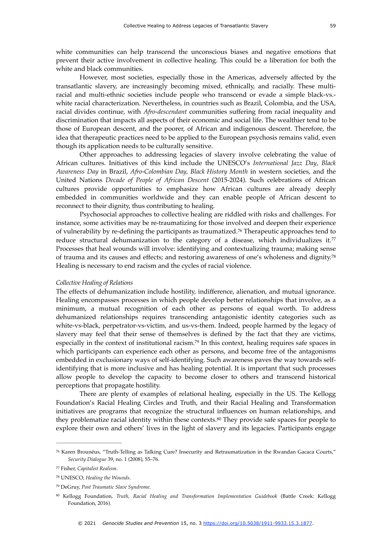prevent their active involvement in collective healing. This could be a liberation for both the

white and black communities. However, most societies, especially those in the Americas, adversely affected by the transatlantic slavery, are increasingly becoming mixed, ethnically, and racially. These multiracial and multi-ethnic societies include people who transcend or evade a simple black-vs. white racial characterization. Nevertheless, in countries such as Brazil, Colombia, and the USA, racial divides continue, with *Afro-descendant* communities suffering from racial inequality and discrimination that impacts all aspects of their economic and social life. The wealthier tend to be those of European descent, and the poorer, of African and indigenous descent. Therefore, the idea that therapeutic practices need to be applied to the European psychosis remains valid, even though its application needs to be culturally sensitive.

Other approaches to addressing legacies of slavery involve celebrating the value of African cultures. Initiatives of this kind include the UNESCO's *International Jazz Day*, *Black Awareness Day* in Brazil, *Afro-Colombian Day, Black History Month* in western societies, and the United Nations *Decade of People of African Descent* (2015-2024). Such celebrations of African cultures provide opportunities to emphasize how African cultures are already deeply embedded in communities worldwide and they can enable people of African descent to reconnect to their dignity, thus contributing to healing.

<span id="page-11-6"></span><span id="page-11-5"></span>Psychosocial approaches to collective healing are riddled with risks and challenges. For instance, some activities may be re-traumatizing for those involved and deepen their experience of vulnerability by re-defining the participants as traumatized.<sup>[76](#page-11-0)</sup> Therapeutic approaches tend to reduce structural dehumanization to the category of a disease, which individualizes it. $77$ Processes that heal wounds will involve: identifying and contextualizing trauma; making sense of trauma and its causes and effects; and restoring awareness of one's wholeness and dignity.[78](#page-11-2) Healing is necessary to end racism and the cycles of racial violence.

#### <span id="page-11-7"></span>*Collective Healing of Relations*

<span id="page-11-8"></span>The effects of dehumanization include hostility, indifference, alienation, and mutual ignorance. Healing encompasses processes in which people develop better relationships that involve, as a minimum, a mutual recognition of each other as persons of equal worth. To address dehumanized relationships requires transcending antagonistic identity categories such as white-vs-black, perpetrator-vs-victim, and us-vs-them. Indeed, people harmed by the legacy of slavery may feel that their sense of themselves is defined by the fact that they are victims, especiallyin the context of institutional racism.<sup>[79](#page-11-3)</sup> In this context, healing requires safe spaces in which participants can experience each other as persons, and become free of the antagonisms embedded in exclusionary ways of self-identifying. Such awareness paves the way towards selfidentifying that is more inclusive and has healing potential. It is important that such processes allow people to develop the capacity to become closer to others and transcend historical perceptions that propagate hostility.

<span id="page-11-9"></span>There are plenty of examples of relational healing, especially in the US. The Kellogg Foundation's Racial Healing Circles and Truth, and their Racial Healing and Transformation initiatives are programs that recognize the structural influences on human relationships, and they problematize racial identity within these contexts[.](#page-11-4)<sup>[80](#page-11-4)</sup> They provide safe spaces for people to explore their own and others' lives in the light of slavery and its legacies. Participants engage

<span id="page-11-0"></span><sup>&</sup>lt;sup>[76](#page-11-5)</sup> Karen Brounéus, "Truth-Telling as Talking Cure? Insecurity and Retraumatization in the Rwandan Gacaca Courts," *Security Dialogue* 39, no. 1 (2008), 55–76.

<span id="page-11-1"></span>Fisher, *Capitalist Realism*. [77](#page-11-6)

<span id="page-11-2"></span>UNESCO, *Healing the Wounds*. [78](#page-11-7)

<span id="page-11-3"></span>DeGruy, *Post Traumatic Slave Syndrome*. [79](#page-11-8)

<span id="page-11-4"></span><sup>&</sup>lt;sup>[80](#page-11-9)</sup> Kellogg Foundation, *Truth, Racial Healing and Transformation Implementation Guidebook* (Battle Creek: Kellogg Foundation, 2016).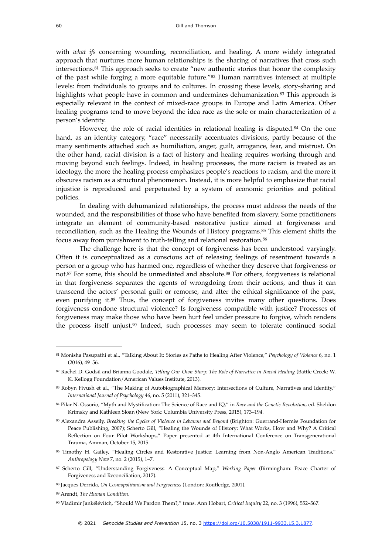<span id="page-12-11"></span><span id="page-12-10"></span>with *what ifs* concerning wounding, reconciliation, and healing. A more widely integrated approach that nurtures more human relationships is the sharing of narratives that cross such intersections[.](#page-12-0)<sup>[81](#page-12-0)</sup> This approach seeks to create "new authentic stories that honor the complexity of the past while forging a more equitable future."<sup>[82](#page-12-1)</sup> Human narratives intersect at multiple levels: from individuals to groups and to cultures. In crossing these levels, story-sharing and highlights what people have in common and undermines dehumanization.<sup>[83](#page-12-2)</sup> This approach is especially relevant in the context of mixed-race groups in Europe and Latin America. Other healing programs tend to move beyond the idea race as the sole or main characterization of a person's identity.

<span id="page-12-13"></span><span id="page-12-12"></span>However, the role of racial identities in relational healing is disputed[.](#page-12-3) $84$  On the one hand, as an identity category, "race" necessarily accentuates divisions, partly because of the many sentiments attached such as humiliation, anger, guilt, arrogance, fear, and mistrust. On the other hand, racial division is a fact of history and healing requires working through and moving beyond such feelings. Indeed, in healing processes, the more racism is treated as an ideology, the more the healing process emphasizes people's reactions to racism, and the more it obscures racism as a structural phenomenon. Instead, it is more helpful to emphasize that racial injustice is reproduced and perpetuated by a system of economic priorities and political policies.

In dealing with dehumanized relationships, the process must address the needs of the wounded, and the responsibilities of those who have benefited from slavery. Some practitioners integrate an element of community-based restorative justice aimed at forgiveness and reconciliation, such as the Healing the Wounds of History programs.<sup>[85](#page-12-4)</sup> This element shifts the focus away from punishment to truth-telling and relational restoration.<sup>86</sup>

<span id="page-12-18"></span><span id="page-12-17"></span><span id="page-12-16"></span><span id="page-12-15"></span><span id="page-12-14"></span>The challenge here is that the concept of forgiveness has been understood varyingly. Often it is conceptualized as a conscious act of releasing feelings of resentment towards a person or a group who has harmed one, regardless of whether they deserve that forgiveness or not.<sup>87</sup>For some, this should be unmediated and absolute.<sup>88</sup> For others, forgiveness is relational in that forgiveness separates the agents of wrongdoing from their actions, and thus it can transcend the actors' personal guilt or remorse, and alter the ethical significance of the past, even purifying it[.](#page-12-8)<sup>[89](#page-12-8)</sup> Thus, the concept of forgiveness invites many other questions. Does forgiveness condone structural violence? Is forgiveness compatible with justice? Processes of forgiveness may make those who have been hurt feel under pressure to forgive, which renders the process itself unjust.<sup>[90](#page-12-9)</sup> Indeed, such processes may seem to tolerate continued social

- <span id="page-12-5"></span>[86](#page-12-15) Timothy H. Gailey, "Healing Circles and Restorative Justice: Learning from Non-Anglo American Traditions," *Anthropology Now* 7, no. 2 (2015), 1–7.
- <span id="page-12-6"></span><sup>[87](#page-12-16)</sup> Scherto Gill, "Understanding Forgiveness: A Conceptual Map," *Working Paper* (Birmingham: Peace Charter of Forgiveness and Reconciliation, 2017).
- <span id="page-12-7"></span><sup>[88](#page-12-17)</sup> Jacques Derrida, *On Cosmopolitanism and Forgiveness* (London: Routledge, 2001).
- <span id="page-12-8"></span>Arendt, *The Human Condition*. [89](#page-12-18)

<span id="page-12-19"></span><span id="page-12-0"></span><sup>&</sup>lt;sup>[81](#page-12-10)</sup> Monisha Pasupathi et al., "Talking About It: Stories as Paths to Healing After Violence," *Psychology of Violence* 6, no. 1 (2016), 49–56.

<span id="page-12-1"></span>[<sup>82</sup>](#page-12-11) Rachel D. Godsil and Brianna Goodale, *Telling Our Own Story: The Role of Narrative in Racial Healing* (Battle Creek: W. K. Kellogg Foundation/American Values Institute, 2013).

<span id="page-12-2"></span>[<sup>83</sup>](#page-12-12) Robyn Fivush et al., "The Making of Autobiographical Memory: Intersections of Culture, Narratives and Identity," *International Journal of Psychology* 46, no. 5 (2011), 321–345.

<span id="page-12-3"></span>Pilar N. Ossorio, "Myth and Mystification: The Science of Race and IQ," in *Race and the Genetic Revolution*, ed. Sheldon [84](#page-12-13) Krimsky and Kathleen Sloan (New York: Columbia University Press, 2015), 173–194.

<span id="page-12-4"></span>[<sup>85</sup>](#page-12-14) Alexandra Asseily, *Breaking the Cycles of Violence in Lebanon and Beyond* (Brighton: Guerrand-Hermès Foundation for Peace Publishing, 2007); Scherto Gill, "Healing the Wounds of History: What Works, How and Why? A Critical Reflection on Four Pilot Workshops," Paper presented at 4th International Conference on Transgenerational Trauma, Amman, October 15, 2015.

<span id="page-12-9"></span>Vladimir Jankélévitch, "Should We Pardon Them?," trans. Ann Hobart, *Critical Inquiry* 22, no. 3 (1996), 552–567. [90](#page-12-19)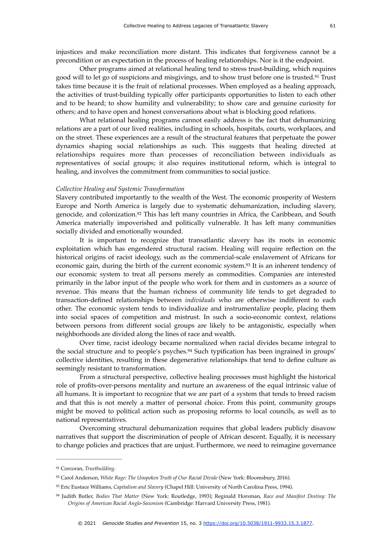injustices and make reconciliation more distant. This indicates that forgiveness cannot be a precondition or an expectation in the process of healing relationships. Nor is it the endpoint.

<span id="page-13-4"></span>Other programs aimed at relational healing tend to stress trust-building, which requires good will to let go of suspicions and misgivings, and to show trust before one is trusted.<sup>[91](#page-13-0)</sup> Trust takes time because it is the fruit of relational processes. When employed as a healing approach, the activities of trust-building typically offer participants opportunities to listen to each other and to be heard; to show humility and vulnerability; to show care and genuine curiosity for others; and to have open and honest conversations about what is blocking good relations.

What relational healing programs cannot easily address is the fact that dehumanizing relations are a part of our lived realities, including in schools, hospitals, courts, workplaces, and on the street. These experiences are a result of the structural features that perpetuate the power dynamics shaping social relationships as such. This suggests that healing directed at relationships requires more than processes of reconciliation between individuals as representatives of social groups; it also requires institutional reform, which is integral to healing, and involves the commitment from communities to social justice.

#### *Collective Healing and Systemic Transformation*

<span id="page-13-5"></span>Slavery contributed importantly to the wealth of the West. The economic prosperity of Western Europe and North America is largely due to systematic dehumanization, including slavery, genocide, and colonization.<sup>[92](#page-13-1)</sup> This has left many countries in Africa, the Caribbean, and South America materially impoverished and politically vulnerable. It has left many communities socially divided and emotionally wounded.

<span id="page-13-6"></span>It is important to recognize that transatlantic slavery has its roots in economic exploitation which has engendered structural racism. Healing will require reflection on the historical origins of racist ideology, such as the commercial-scale enslavement of Africans for economic gain, during the birth of the current economic system.<sup>[93](#page-13-2)</sup> It is an inherent tendency of our economic system to treat all persons merely as commodities. Companies are interested primarily in the labor input of the people who work for them and in customers as a source of revenue. This means that the human richness of community life tends to get degraded to transaction-defined relationships between *individuals* who are otherwise indifferent to each other. The economic system tends to individualize and instrumentalize people, placing them into social spaces of competition and mistrust. In such a socio-economic context, relations between persons from different social groups are likely to be antagonistic, especially when neighborhoods are divided along the lines of race and wealth.

<span id="page-13-7"></span>Over time, racist ideology became normalized when racial divides became integral to the social structure and to people's psyches.<sup>[94](#page-13-3)</sup> Such typification has been ingrained in groups' collective identities, resulting in these degenerative relationships that tend to define culture as seemingly resistant to transformation.

From a structural perspective, collective healing processes must highlight the historical role of profits-over-persons mentality and nurture an awareness of the equal intrinsic value of all humans. It is important to recognize that we are part of a system that tends to breed racism and that this is not merely a matter of personal choice. From this point, community groups might be moved to political action such as proposing reforms to local councils, as well as to national representatives.

Overcoming structural dehumanization requires that global leaders publicly disavow narratives that support the discrimination of people of African descent. Equally, it is necessary to change policies and practices that are unjust. Furthermore, we need to reimagine governance

<span id="page-13-0"></span><sup>&</sup>lt;sup>[91](#page-13-4)</sup> Corcoran, *Trustbuilding*.

<span id="page-13-1"></span><sup>&</sup>lt;sup>[92](#page-13-5)</sup> Carol Anderson, *White Rage: The Unspoken Truth of Our Racial Divide* (New York: Bloomsbury, 2016).

<span id="page-13-2"></span><sup>&</sup>lt;sup>[93](#page-13-6)</sup> Eric Eustace Williams, *Capitalism and Slavery* (Chapel Hill: University of North Carolina Press, 1994).

<span id="page-13-3"></span>Judith Butler, *Bodies That Matter* (New York: Routledge, 1993); Reginald Horsman, *Race and Manifest Destiny: The* [94](#page-13-7) *Origins of American Racial Anglo-Saxonism* (Cambridge: Harvard University Press, 1981).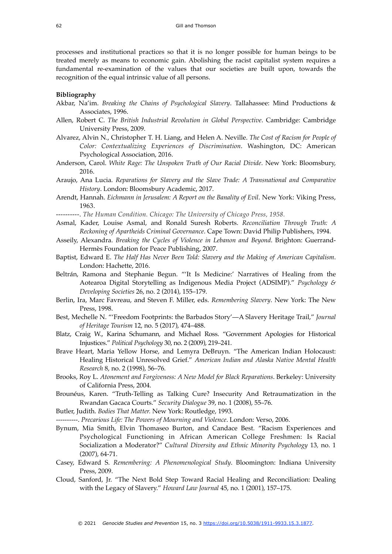processes and institutional practices so that it is no longer possible for human beings to be treated merely as means to economic gain. Abolishing the racist capitalist system requires a fundamental re-examination of the values that our societies are built upon, towards the recognition of the equal intrinsic value of all persons.

#### **Bibliography**

- Akbar, Na'im. *Breaking the Chains of Psychological Slavery*. Tallahassee: Mind Productions & Associates, 1996.
- Allen, Robert C. *The British Industrial Revolution in Global Perspective*. Cambridge: Cambridge University Press, 2009.
- Alvarez, Alvin N., Christopher T. H. Liang, and Helen A. Neville. *The Cost of Racism for People of Color: Contextualizing Experiences of Discrimination*. Washington, DC: American Psychological Association, 2016.
- Anderson, Carol. *White Rage: The Unspoken Truth of Our Racial Divide*. New York: Bloomsbury, 2016.
- Araujo, Ana Lucia. *Reparations for Slavery and the Slave Trade: A Transnational and Comparative History*. London: Bloomsbury Academic, 2017.
- Arendt, Hannah. *Eichmann in Jerusalem: A Report on the Banality of Evil*. New York: Viking Press, 1963.
- ----------. *The Human Condition. Chicago: The University of Chicago Press, 1958.*
- Asmal, Kader, Louise Asmal, and Ronald Suresh Roberts. *Reconciliation Through Truth: A Reckoning of Apartheids Criminal Governance*. Cape Town: David Philip Publishers, 1994.
- Asseily, Alexandra. *Breaking the Cycles of Violence in Lebanon and Beyond*. Brighton: Guerrand-Hermès Foundation for Peace Publishing, 2007.
- Baptist, Edward E. *The Half Has Never Been Told: Slavery and the Making of American Capitalism*. London: Hachette, 2016.
- Beltrán, Ramona and Stephanie Begun. "'It Is Medicine:' Narratives of Healing from the Aotearoa Digital Storytelling as Indigenous Media Project (ADSIMP)." *Psychology & Developing Societies* 26, no. 2 (2014), 155–179.
- Berlin, Ira, Marc Favreau, and Steven F. Miller, eds. *Remembering Slavery*. New York: The New Press, 1998.
- Best, Mechelle N. "'Freedom Footprints: the Barbados Story'—A Slavery Heritage Trail," *Journal of Heritage Tourism* 12, no. 5 (2017), 474–488.
- Blatz, Craig W., Karina Schumann, and Michael Ross. "Government Apologies for Historical Injustices." *Political Psychology* 30, no. 2 (2009), 219–241.
- Brave Heart, Maria Yellow Horse, and Lemyra DeBruyn. "The American Indian Holocaust: Healing Historical Unresolved Grief." *American Indian and Ala*s*ka Native Mental Health Research* 8, no. 2 (1998), 56–76*.*
- Brooks, Roy L. *Atonement and Forgiveness: A New Model for Black Reparations*. Berkeley: University of California Press, 2004.
- Brounéus, Karen. "Truth-Telling as Talking Cure? Insecurity And Retraumatization in the Rwandan Gacaca Courts." *Security Dialogue* 39, no. 1 (2008), 55–76.
- Butler, Judith. *Bodies That Matter.* New York: Routledge, 1993.
- ---. *Precarious Life: The Powers of Mourning and Violence*. London: Verso, 2006.
- Bynum, Mia Smith, Elvin Thomaseo Burton, and Candace Best. "Racism Experiences and Psychological Functioning in African American College Freshmen: Is Racial Socialization a Moderator?" *Cultural Diversity and Ethnic Minority Psychology* 13*,* no. 1 (2007), 64-71.
- Casey, Edward S. *Remembering: A Phenomenological Study*. Bloomington: Indiana University Press, 2009.
- Cloud, Sanford, Jr. "The Next Bold Step Toward Racial Healing and Reconciliation: Dealing with the Legacy of Slavery." *Howard Law Journal* 45, no. 1 (2001), 157–175.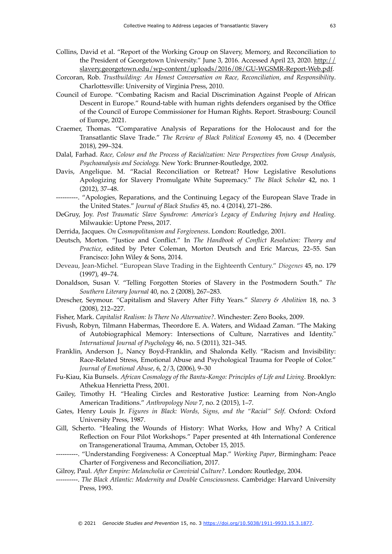- Collins, David et al. "Report of the Working Group on Slavery, Memory, and Reconciliation to [the President of Georgetown University." June 3, 2016. Accessed April 23, 2020. http://](http://slavery.georgetown.edu/wp-content/uploads/2016/08/GU-WGSMR-Report-Web.pdf) [slavery.georgetown.edu/wp-content/uploads/2016/08/GU-WGSMR-Report-Web.pdf](http://slavery.georgetown.edu/wp-content/uploads/2016/08/GU-WGSMR-Report-Web.pdf).
- Corcoran, Rob. *Trustbuilding: An Honest Conversation on Race, Reconciliation, and Responsibility*. Charlottesville: University of Virginia Press, 2010.
- Council of Europe. "Combating Racism and Racial Discrimination Against People of African Descent in Europe." Round-table with human rights defenders organised by the Office of the Council of Europe Commissioner for Human Rights. Report. Strasbourg: Council of Europe, 2021.
- Craemer, Thomas. "Comparative Analysis of Reparations for the Holocaust and for the Transatlantic Slave Trade." *The Review of Black Political Economy* 45, no. 4 (December 2018), 299–324.
- Dalal, Farhad. *Race, Colour and the Process of Racialization: New Perspectives from Group Analysis, Psychoanalysis and Sociology.* New York: Brunner-Routledge, 2002.
- Davis, Angelique. M. "Racial Reconciliation or Retreat? How Legislative Resolutions Apologizing for Slavery Promulgate White Supremacy." *The Black Scholar* 42, no. 1 (2012), 37–48.
- ----------. "Apologies, Reparations, and the Continuing Legacy of the European Slave Trade in the United States." *Journal of Black Studies* 45, no. 4 (2014), 271–286.
- DeGruy, Joy. *Post Traumatic Slave Syndrome: America's Legacy of Enduring Injury and Healing.*  Milwaukie: Uptone Press, 2017.
- Derrida, Jacques. *On Cosmopolitanism and Forgiveness*. London: Routledge, 2001.
- Deutsch, Morton. "Justice and Conflict." In *The Handbook of Conflict Resolution: Theory and Practice*, edited by Peter Coleman, Morton Deutsch and Eric Marcus, 22–55. San Francisco: John Wiley & Sons, 2014.
- Deveau, Jean-Michel. "European Slave Trading in the Eighteenth Century." *Diogenes* 45, no. 179 (1997), 49–74.
- Donaldson, Susan V. "Telling Forgotten Stories of Slavery in the Postmodern South." *The Southern Literary Journal* 40, no. 2 (2008), 267–283.
- Drescher, Seymour. "Capitalism and Slavery After Fifty Years." *Slavery & Abolition* 18, no. 3 (2008), 212–227.
- Fisher, Mark. *Capitalist Realism: Is There No Alternative?*. Winchester: Zero Books, 2009.
- Fivush, Robyn, Tilmann Habermas, Theordore E. A. Waters, and Widaad Zaman. "The Making of Autobiographical Memory: Intersections of Culture, Narratives and Identity." *International Journal of Psychology* 46, no. 5 (2011), 321–345.
- Franklin, Anderson J., Nancy Boyd-Franklin, and Shalonda Kelly. "Racism and Invisibility: Race-Related Stress, Emotional Abuse and Psychological Trauma for People of Color." *Journal of Emotional Abuse*, 6, 2/3, (2006), 9–30
- Fu-Kiau, Kia Bunsels. *African Cosmology of the Bantu-Kongo: Principles of Life and Living*. Brooklyn: Athekua Henrietta Press, 2001.
- Gailey, Timothy H. "Healing Circles and Restorative Justice: Learning from Non-Anglo American Traditions." *Anthropology Now* 7, no. 2 (2015), 1–7.
- Gates, Henry Louis Jr. *Figures in Black: Words, Signs, and the "Racial" Self*. Oxford: Oxford University Press, 1987.
- Gill, Scherto. "Healing the Wounds of History: What Works, How and Why? A Critical Reflection on Four Pilot Workshops." Paper presented at 4th International Conference on Transgenerational Trauma, Amman, October 15, 2015.
- ----------. "Understanding Forgiveness: A Conceptual Map." *Working Paper*, Birmingham: Peace Charter of Forgiveness and Reconciliation, 2017.

Gilroy, Paul. *After Empire: Melancholia or Convivial Culture?*. London: Routledge, 2004.

----------. *The Black Atlantic: Modernity and Double Consciousness*. Cambridge: Harvard University Press, 1993.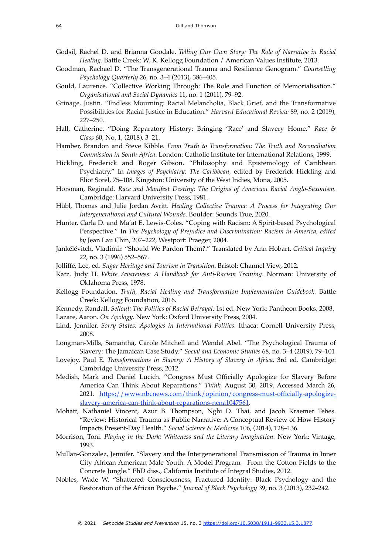- Godsil, Rachel D. and Brianna Goodale. *Telling Our Own Story: The Role of Narrative in Racial Healing*. Battle Creek: W. K. Kellogg Foundation / American Values Institute, 2013.
- Goodman, Rachael D. "The Transgenerational Trauma and Resilience Genogram." *Counselling Psychology Quarterly* 26, no. 3–4 (2013), 386–405.
- Gould, Laurence. "Collective Working Through: The Role and Function of Memorialisation." *Organisational and Social Dynamics* 11, no. 1 (2011), 79–92.
- Grinage, Justin. "Endless Mourning: Racial Melancholia, Black Grief, and the Transformative Possibilities for Racial Justice in Education." *Harvard Educational Review* 89, no. 2 (2019), 227–250.
- Hall, Catherine. "Doing Reparatory History: Bringing 'Race' and Slavery Home." *Race & Class* 60, No. 1, (2018), 3–21.
- Hamber, Brandon and Steve Kibble. *From Truth to Transformation: The Truth and Reconciliation Commission in South Africa*. London: Catholic Institute for International Relations, 1999.
- Hickling, Frederick and Roger Gibson. "Philosophy and Epistemology of Caribbean Psychiatry." In *Images of Psychiatry: The Caribbean*, edited by Frederick Hickling and Eliot Sorel, 75–108. Kingston: University of the West Indies, Mona, 2005.
- Horsman, Reginald. *Race and Manifest Destiny: The Origins of American Racial Anglo-Saxonism.* Cambridge: Harvard University Press, 1981.
- Hübl, Thomas and Julie Jordan Avritt. *Healing Collective Trauma: A Process for Integrating Our Intergenerational and Cultural Wounds*. Boulder: Sounds True, 2020.
- Hunter, Carla D. and Ma'at E. Lewis-Coles. "Coping with Racism: A Spirit-based Psychological Perspective." In *The Psychology of Prejudice and Discrimination: Racism in America, edited by* Jean Lau Chin, 207–222, Westport: Praeger, 2004.
- Jankélévitch, Vladimir. "Should We Pardon Them?." Translated by Ann Hobart. *Critical Inquiry* 22, no. 3 (1996) 552–567.
- Jolliffe, Lee, ed. *Sugar Heritage and Tourism in Transition*. Bristol: Channel View, 2012.
- Katz, Judy H. *White Awareness: A Handbook for Anti-Racism Training*. Norman: University of Oklahoma Press, 1978.
- Kellogg Foundation. *Truth, Racial Healing and Transformation Implementation Guidebook.* Battle Creek: Kellogg Foundation, 2016.
- Kennedy, Randall. *Sellout: The Politics of Racial Betrayal*, 1st ed. New York: Pantheon Books, 2008. Lazare, Aaron. *On Apology*. New York: Oxford University Press, 2004.
- Lind, Jennifer. *Sorry States: Apologies in International Politics.* Ithaca: Cornell University Press,
- 2008.
- Longman-Mills, Samantha, Carole Mitchell and Wendel Abel. "The Psychological Trauma of Slavery: The Jamaican Case Study." *Social and Economic Studies* 68, no. 3–4 (2019), 79–101
- Lovejoy, Paul E. *Transformations in Slavery: A History of Slavery in Africa*, 3rd ed. Cambridge: Cambridge University Press, 2012.
- Medish, Mark and Daniel Lucich. "Congress Must Officially Apologize for Slavery Before America Can Think About Reparations." *Think,* August 30, 2019. Accessed March 26, [2021. https://www.nbcnews.com/think/opinion/congress-must-officially-apologize](https://www.nbcnews.com/think/opinion/congress-must-officially-apologize-slavery-america-can-think-about-reparations-ncna1047561)[slavery-america-can-think-about-reparations-ncna1047561](https://www.nbcnews.com/think/opinion/congress-must-officially-apologize-slavery-america-can-think-about-reparations-ncna1047561).
- Mohatt, Nathaniel Vincent, Azur B. Thompson, Nghi D. Thai, and Jacob Kraemer Tebes. "Review: Historical Trauma as Public Narrative: A Conceptual Review of How History Impacts Present-Day Health." *Social Science & Medicine* 106, (2014), 128–136.
- Morrison, Toni. *Playing in the Dark: Whiteness and the Literary Imagination.* New York: Vintage, 1993.
- Mullan-Gonzalez, Jennifer. "Slavery and the Intergenerational Transmission of Trauma in Inner City African American Male Youth: A Model Program—From the Cotton Fields to the Concrete Jungle." PhD diss., California Institute of Integral Studies, 2012.
- Nobles, Wade W. "Shattered Consciousness, Fractured Identity: Black Psychology and the Restoration of the African Psyche." *Journal of Black Psychology* 39, no. 3 (2013), 232–242.